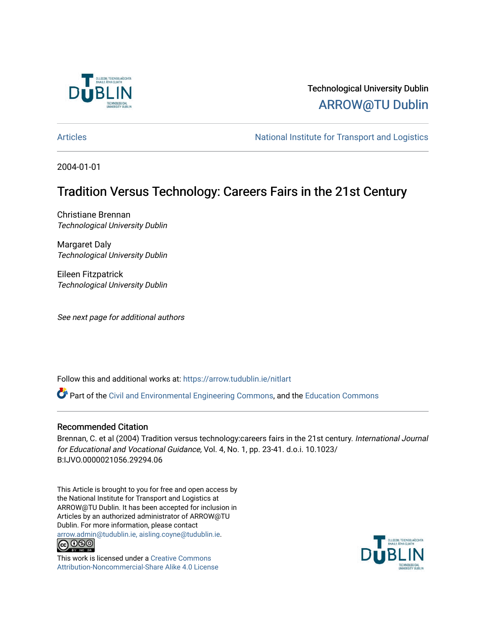

# Technological University Dublin [ARROW@TU Dublin](https://arrow.tudublin.ie/)

[Articles](https://arrow.tudublin.ie/nitlart) **Articles** Articles Articles Articles Articles Articles Articles Articles Articles Articles Articles Articles Articles Articles Articles Articles Articles Articles Articles Articles Articles Articles Articles Arti

2004-01-01

# Tradition Versus Technology: Careers Fairs in the 21st Century

Christiane Brennan Technological University Dublin

Margaret Daly Technological University Dublin

Eileen Fitzpatrick Technological University Dublin

See next page for additional authors

Follow this and additional works at: [https://arrow.tudublin.ie/nitlart](https://arrow.tudublin.ie/nitlart?utm_source=arrow.tudublin.ie%2Fnitlart%2F14&utm_medium=PDF&utm_campaign=PDFCoverPages) 

Part of the [Civil and Environmental Engineering Commons](http://network.bepress.com/hgg/discipline/251?utm_source=arrow.tudublin.ie%2Fnitlart%2F14&utm_medium=PDF&utm_campaign=PDFCoverPages), and the [Education Commons](http://network.bepress.com/hgg/discipline/784?utm_source=arrow.tudublin.ie%2Fnitlart%2F14&utm_medium=PDF&utm_campaign=PDFCoverPages)

#### Recommended Citation

Brennan, C. et al (2004) Tradition versus technology:careers fairs in the 21st century. International Journal for Educational and Vocational Guidance, Vol. 4, No. 1, pp. 23-41. d.o.i. 10.1023/ B:IJVO.0000021056.29294.06

This Article is brought to you for free and open access by the National Institute for Transport and Logistics at ARROW@TU Dublin. It has been accepted for inclusion in Articles by an authorized administrator of ARROW@TU Dublin. For more information, please contact [arrow.admin@tudublin.ie, aisling.coyne@tudublin.ie](mailto:arrow.admin@tudublin.ie,%20aisling.coyne@tudublin.ie).



This work is licensed under a [Creative Commons](http://creativecommons.org/licenses/by-nc-sa/4.0/) [Attribution-Noncommercial-Share Alike 4.0 License](http://creativecommons.org/licenses/by-nc-sa/4.0/)

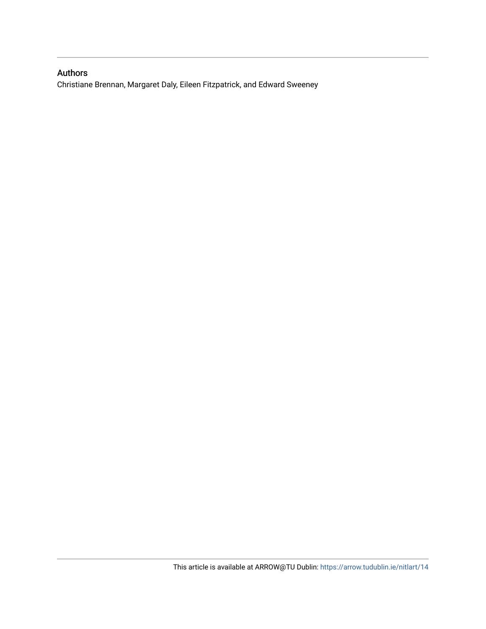# Authors

Christiane Brennan, Margaret Daly, Eileen Fitzpatrick, and Edward Sweeney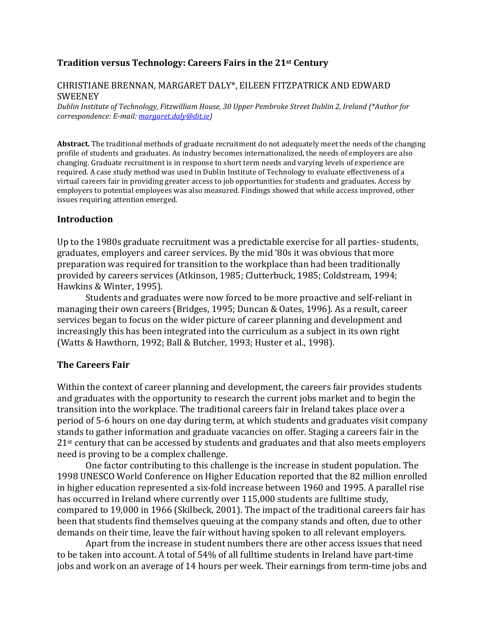# Tradition versus Technology: Careers Fairs in the 21st Century

## CHRISTIANE BRENNAN, MARGARET DALY\*, EILEEN FITZPATRICK AND EDWARD SWEENEY

Dublin Institute of Technology, Fitzwilliam House, 30 Upper Pembroke Street Dublin 2, Ireland (\*Author for correspondence: E-mail: margaret.daly@dit.ie)

Abstract. The traditional methods of graduate recruitment do not adequately meet the needs of the changing profile of students and graduates. As industry becomes internationalized, the needs of employers are also changing. Graduate recruitment is in response to short term needs and varying levels of experience are required. A case study method was used in Dublin Institute of Technology to evaluate effectiveness of a virtual careers fair in providing greater access to job opportunities for students and graduates. Access by employers to potential employees was also measured. Findings showed that while access improved, other issues requiring attention emerged.

#### Introduction

Up to the 1980s graduate recruitment was a predictable exercise for all parties- students, graduates, employers and career services. By the mid '80s it was obvious that more preparation was required for transition to the workplace than had been traditionally provided by careers services (Atkinson, 1985; Clutterbuck, 1985; Coldstream, 1994; Hawkins & Winter, 1995).

 Students and graduates were now forced to be more proactive and self-reliant in managing their own careers (Bridges, 1995; Duncan & Oates, 1996). As a result, career services began to focus on the wider picture of career planning and development and increasingly this has been integrated into the curriculum as a subject in its own right (Watts & Hawthorn, 1992; Ball & Butcher, 1993; Huster et al., 1998).

# The Careers Fair

Within the context of career planning and development, the careers fair provides students and graduates with the opportunity to research the current jobs market and to begin the transition into the workplace. The traditional careers fair in Ireland takes place over a period of 5-6 hours on one day during term, at which students and graduates visit company stands to gather information and graduate vacancies on offer. Staging a careers fair in the 21<sup>st</sup> century that can be accessed by students and graduates and that also meets employers need is proving to be a complex challenge.

 One factor contributing to this challenge is the increase in student population. The 1998 UNESCO World Conference on Higher Education reported that the 82 million enrolled in higher education represented a six-fold increase between 1960 and 1995. A parallel rise has occurred in Ireland where currently over 115,000 students are fulltime study, compared to 19,000 in 1966 (Skilbeck, 2001). The impact of the traditional careers fair has been that students find themselves queuing at the company stands and often, due to other demands on their time, leave the fair without having spoken to all relevant employers.

 Apart from the increase in student numbers there are other access issues that need to be taken into account. A total of 54% of all fulltime students in Ireland have part-time jobs and work on an average of 14 hours per week. Their earnings from term-time jobs and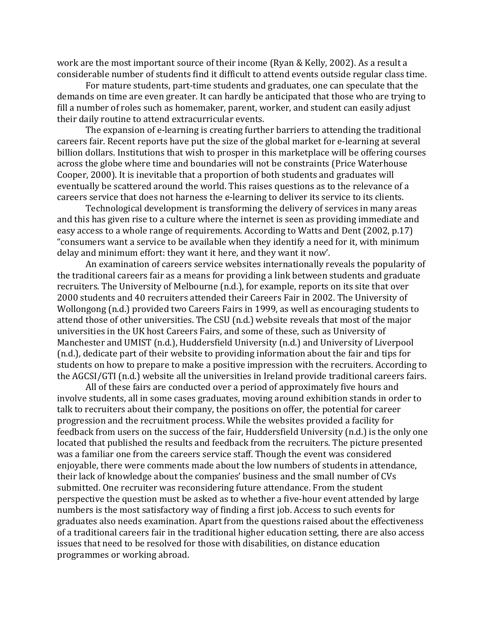work are the most important source of their income (Ryan & Kelly, 2002). As a result a considerable number of students find it difficult to attend events outside regular class time.

 For mature students, part-time students and graduates, one can speculate that the demands on time are even greater. It can hardly be anticipated that those who are trying to fill a number of roles such as homemaker, parent, worker, and student can easily adjust their daily routine to attend extracurricular events.

 The expansion of e-learning is creating further barriers to attending the traditional careers fair. Recent reports have put the size of the global market for e-learning at several billion dollars. Institutions that wish to prosper in this marketplace will be offering courses across the globe where time and boundaries will not be constraints (Price Waterhouse Cooper, 2000). It is inevitable that a proportion of both students and graduates will eventually be scattered around the world. This raises questions as to the relevance of a careers service that does not harness the e-learning to deliver its service to its clients.

 Technological development is transforming the delivery of services in many areas and this has given rise to a culture where the internet is seen as providing immediate and easy access to a whole range of requirements. According to Watts and Dent (2002, p.17) "consumers want a service to be available when they identify a need for it, with minimum delay and minimum effort: they want it here, and they want it now'.

 An examination of careers service websites internationally reveals the popularity of the traditional careers fair as a means for providing a link between students and graduate recruiters. The University of Melbourne (n.d.), for example, reports on its site that over 2000 students and 40 recruiters attended their Careers Fair in 2002. The University of Wollongong (n.d.) provided two Careers Fairs in 1999, as well as encouraging students to attend those of other universities. The CSU (n.d.) website reveals that most of the major universities in the UK host Careers Fairs, and some of these, such as University of Manchester and UMIST (n.d.), Huddersfield University (n.d.) and University of Liverpool (n.d.), dedicate part of their website to providing information about the fair and tips for students on how to prepare to make a positive impression with the recruiters. According to the AGCSI/GTI (n.d.) website all the universities in Ireland provide traditional careers fairs.

 All of these fairs are conducted over a period of approximately five hours and involve students, all in some cases graduates, moving around exhibition stands in order to talk to recruiters about their company, the positions on offer, the potential for career progression and the recruitment process. While the websites provided a facility for feedback from users on the success of the fair, Huddersfield University (n.d.) is the only one located that published the results and feedback from the recruiters. The picture presented was a familiar one from the careers service staff. Though the event was considered enjoyable, there were comments made about the low numbers of students in attendance, their lack of knowledge about the companies' business and the small number of CVs submitted. One recruiter was reconsidering future attendance. From the student perspective the question must be asked as to whether a five-hour event attended by large numbers is the most satisfactory way of finding a first job. Access to such events for graduates also needs examination. Apart from the questions raised about the effectiveness of a traditional careers fair in the traditional higher education setting, there are also access issues that need to be resolved for those with disabilities, on distance education programmes or working abroad.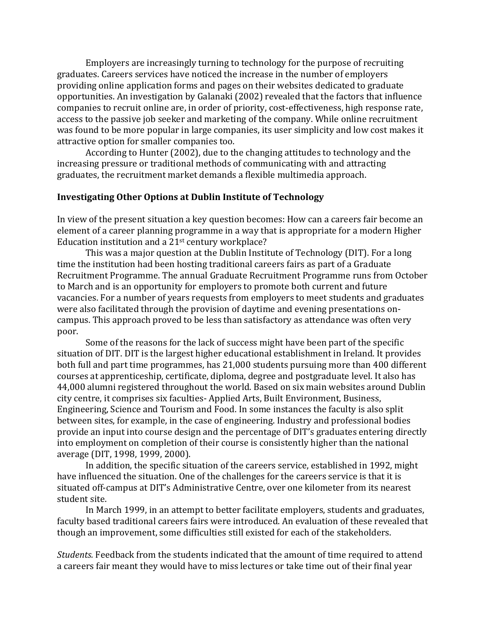Employers are increasingly turning to technology for the purpose of recruiting graduates. Careers services have noticed the increase in the number of employers providing online application forms and pages on their websites dedicated to graduate opportunities. An investigation by Galanaki (2002) revealed that the factors that influence companies to recruit online are, in order of priority, cost-effectiveness, high response rate, access to the passive job seeker and marketing of the company. While online recruitment was found to be more popular in large companies, its user simplicity and low cost makes it attractive option for smaller companies too.

 According to Hunter (2002), due to the changing attitudes to technology and the increasing pressure or traditional methods of communicating with and attracting graduates, the recruitment market demands a flexible multimedia approach.

#### Investigating Other Options at Dublin Institute of Technology

In view of the present situation a key question becomes: How can a careers fair become an element of a career planning programme in a way that is appropriate for a modern Higher Education institution and a 21st century workplace?

 This was a major question at the Dublin Institute of Technology (DIT). For a long time the institution had been hosting traditional careers fairs as part of a Graduate Recruitment Programme. The annual Graduate Recruitment Programme runs from October to March and is an opportunity for employers to promote both current and future vacancies. For a number of years requests from employers to meet students and graduates were also facilitated through the provision of daytime and evening presentations oncampus. This approach proved to be less than satisfactory as attendance was often very poor.

 Some of the reasons for the lack of success might have been part of the specific situation of DIT. DIT is the largest higher educational establishment in Ireland. It provides both full and part time programmes, has 21,000 students pursuing more than 400 different courses at apprenticeship, certificate, diploma, degree and postgraduate level. It also has 44,000 alumni registered throughout the world. Based on six main websites around Dublin city centre, it comprises six faculties- Applied Arts, Built Environment, Business, Engineering, Science and Tourism and Food. In some instances the faculty is also split between sites, for example, in the case of engineering. Industry and professional bodies provide an input into course design and the percentage of DIT's graduates entering directly into employment on completion of their course is consistently higher than the national average (DIT, 1998, 1999, 2000).

 In addition, the specific situation of the careers service, established in 1992, might have influenced the situation. One of the challenges for the careers service is that it is situated off-campus at DIT's Administrative Centre, over one kilometer from its nearest student site.

 In March 1999, in an attempt to better facilitate employers, students and graduates, faculty based traditional careers fairs were introduced. An evaluation of these revealed that though an improvement, some difficulties still existed for each of the stakeholders.

Students. Feedback from the students indicated that the amount of time required to attend a careers fair meant they would have to miss lectures or take time out of their final year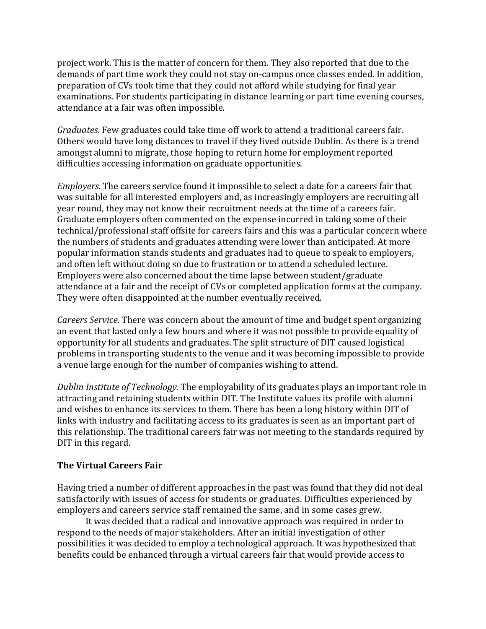project work. This is the matter of concern for them. They also reported that due to the demands of part time work they could not stay on-campus once classes ended. In addition, preparation of CVs took time that they could not afford while studying for final year examinations. For students participating in distance learning or part time evening courses, attendance at a fair was often impossible.

Graduates. Few graduates could take time off work to attend a traditional careers fair. Others would have long distances to travel if they lived outside Dublin. As there is a trend amongst alumni to migrate, those hoping to return home for employment reported difficulties accessing information on graduate opportunities.

Employers. The careers service found it impossible to select a date for a careers fair that was suitable for all interested employers and, as increasingly employers are recruiting all year round, they may not know their recruitment needs at the time of a careers fair. Graduate employers often commented on the expense incurred in taking some of their technical/professional staff offsite for careers fairs and this was a particular concern where the numbers of students and graduates attending were lower than anticipated. At more popular information stands students and graduates had to queue to speak to employers, and often left without doing so due to frustration or to attend a scheduled lecture. Employers were also concerned about the time lapse between student/graduate attendance at a fair and the receipt of CVs or completed application forms at the company. They were often disappointed at the number eventually received.

Careers Service. There was concern about the amount of time and budget spent organizing an event that lasted only a few hours and where it was not possible to provide equality of opportunity for all students and graduates. The split structure of DIT caused logistical problems in transporting students to the venue and it was becoming impossible to provide a venue large enough for the number of companies wishing to attend.

Dublin Institute of Technology. The employability of its graduates plays an important role in attracting and retaining students within DIT. The Institute values its profile with alumni and wishes to enhance its services to them. There has been a long history within DIT of links with industry and facilitating access to its graduates is seen as an important part of this relationship. The traditional careers fair was not meeting to the standards required by DIT in this regard.

# The Virtual Careers Fair

Having tried a number of different approaches in the past was found that they did not deal satisfactorily with issues of access for students or graduates. Difficulties experienced by employers and careers service staff remained the same, and in some cases grew.

 It was decided that a radical and innovative approach was required in order to respond to the needs of major stakeholders. After an initial investigation of other possibilities it was decided to employ a technological approach. It was hypothesized that benefits could be enhanced through a virtual careers fair that would provide access to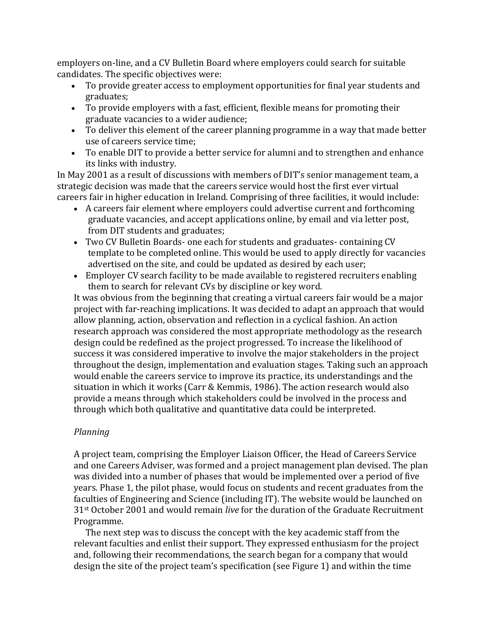employers on-line, and a CV Bulletin Board where employers could search for suitable candidates. The specific objectives were:

- To provide greater access to employment opportunities for final year students and graduates;
- To provide employers with a fast, efficient, flexible means for promoting their graduate vacancies to a wider audience;
- To deliver this element of the career planning programme in a way that made better use of careers service time;
- To enable DIT to provide a better service for alumni and to strengthen and enhance its links with industry.

In May 2001 as a result of discussions with members of DIT's senior management team, a strategic decision was made that the careers service would host the first ever virtual careers fair in higher education in Ireland. Comprising of three facilities, it would include:

- A careers fair element where employers could advertise current and forthcoming graduate vacancies, and accept applications online, by email and via letter post, from DIT students and graduates;
- Two CV Bulletin Boards- one each for students and graduates- containing CV template to be completed online. This would be used to apply directly for vacancies advertised on the site, and could be updated as desired by each user;
- Employer CV search facility to be made available to registered recruiters enabling them to search for relevant CVs by discipline or key word.

It was obvious from the beginning that creating a virtual careers fair would be a major project with far-reaching implications. It was decided to adapt an approach that would allow planning, action, observation and reflection in a cyclical fashion. An action research approach was considered the most appropriate methodology as the research design could be redefined as the project progressed. To increase the likelihood of success it was considered imperative to involve the major stakeholders in the project throughout the design, implementation and evaluation stages. Taking such an approach would enable the careers service to improve its practice, its understandings and the situation in which it works (Carr & Kemmis, 1986). The action research would also provide a means through which stakeholders could be involved in the process and through which both qualitative and quantitative data could be interpreted.

# Planning

A project team, comprising the Employer Liaison Officer, the Head of Careers Service and one Careers Adviser, was formed and a project management plan devised. The plan was divided into a number of phases that would be implemented over a period of five years. Phase 1, the pilot phase, would focus on students and recent graduates from the faculties of Engineering and Science (including IT). The website would be launched on 31<sup>st</sup> October 2001 and would remain live for the duration of the Graduate Recruitment Programme.

 The next step was to discuss the concept with the key academic staff from the relevant faculties and enlist their support. They expressed enthusiasm for the project and, following their recommendations, the search began for a company that would design the site of the project team's specification (see Figure 1) and within the time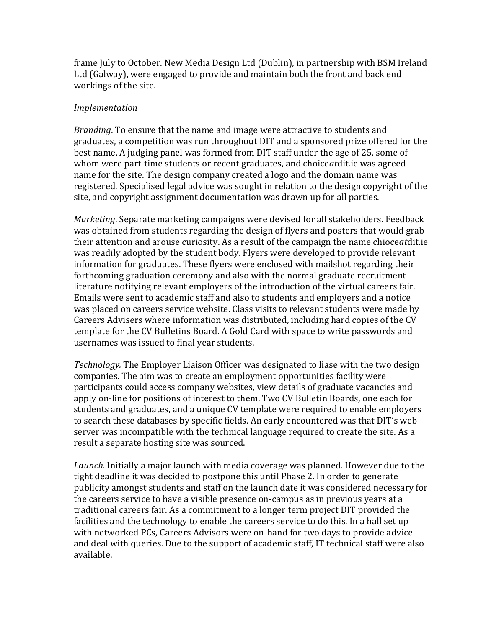frame July to October. New Media Design Ltd (Dublin), in partnership with BSM Ireland Ltd (Galway), were engaged to provide and maintain both the front and back end workings of the site.

## Implementation

Branding. To ensure that the name and image were attractive to students and graduates, a competition was run throughout DIT and a sponsored prize offered for the best name. A judging panel was formed from DIT staff under the age of 25, some of whom were part-time students or recent graduates, and choiceatdit.ie was agreed name for the site. The design company created a logo and the domain name was registered. Specialised legal advice was sought in relation to the design copyright of the site, and copyright assignment documentation was drawn up for all parties.

Marketing. Separate marketing campaigns were devised for all stakeholders. Feedback was obtained from students regarding the design of flyers and posters that would grab their attention and arouse curiosity. As a result of the campaign the name chioceatdit.ie was readily adopted by the student body. Flyers were developed to provide relevant information for graduates. These flyers were enclosed with mailshot regarding their forthcoming graduation ceremony and also with the normal graduate recruitment literature notifying relevant employers of the introduction of the virtual careers fair. Emails were sent to academic staff and also to students and employers and a notice was placed on careers service website. Class visits to relevant students were made by Careers Advisers where information was distributed, including hard copies of the CV template for the CV Bulletins Board. A Gold Card with space to write passwords and usernames was issued to final year students.

Technology. The Employer Liaison Officer was designated to liase with the two design companies. The aim was to create an employment opportunities facility were participants could access company websites, view details of graduate vacancies and apply on-line for positions of interest to them. Two CV Bulletin Boards, one each for students and graduates, and a unique CV template were required to enable employers to search these databases by specific fields. An early encountered was that DIT's web server was incompatible with the technical language required to create the site. As a result a separate hosting site was sourced.

Launch. Initially a major launch with media coverage was planned. However due to the tight deadline it was decided to postpone this until Phase 2. In order to generate publicity amongst students and staff on the launch date it was considered necessary for the careers service to have a visible presence on-campus as in previous years at a traditional careers fair. As a commitment to a longer term project DIT provided the facilities and the technology to enable the careers service to do this. In a hall set up with networked PCs, Careers Advisors were on-hand for two days to provide advice and deal with queries. Due to the support of academic staff, IT technical staff were also available.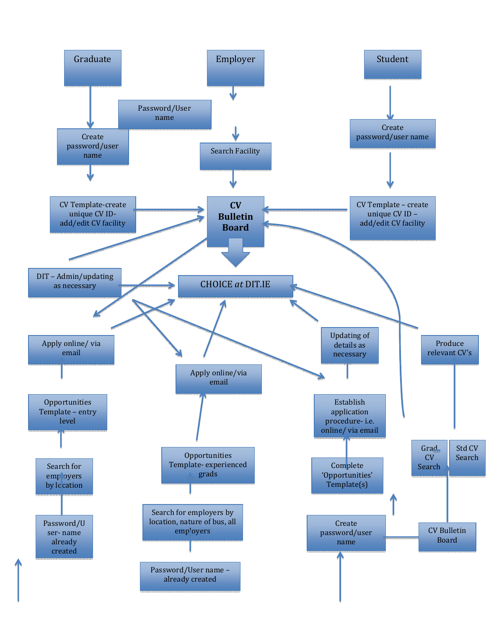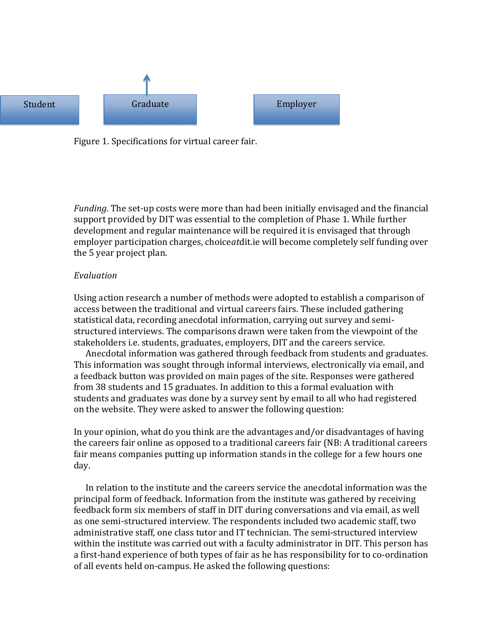

Figure 1. Specifications for virtual career fair.

Funding. The set-up costs were more than had been initially envisaged and the financial support provided by DIT was essential to the completion of Phase 1. While further development and regular maintenance will be required it is envisaged that through employer participation charges, choiceatdit.ie will become completely self funding over the 5 year project plan.

#### Evaluation

Using action research a number of methods were adopted to establish a comparison of access between the traditional and virtual careers fairs. These included gathering statistical data, recording anecdotal information, carrying out survey and semistructured interviews. The comparisons drawn were taken from the viewpoint of the stakeholders i.e. students, graduates, employers, DIT and the careers service.

 Anecdotal information was gathered through feedback from students and graduates. This information was sought through informal interviews, electronically via email, and a feedback button was provided on main pages of the site. Responses were gathered from 38 students and 15 graduates. In addition to this a formal evaluation with students and graduates was done by a survey sent by email to all who had registered on the website. They were asked to answer the following question:

In your opinion, what do you think are the advantages and/or disadvantages of having the careers fair online as opposed to a traditional careers fair (NB: A traditional careers fair means companies putting up information stands in the college for a few hours one day.

 In relation to the institute and the careers service the anecdotal information was the principal form of feedback. Information from the institute was gathered by receiving feedback form six members of staff in DIT during conversations and via email, as well as one semi-structured interview. The respondents included two academic staff, two administrative staff, one class tutor and IT technician. The semi-structured interview within the institute was carried out with a faculty administrator in DIT. This person has a first-hand experience of both types of fair as he has responsibility for to co-ordination of all events held on-campus. He asked the following questions: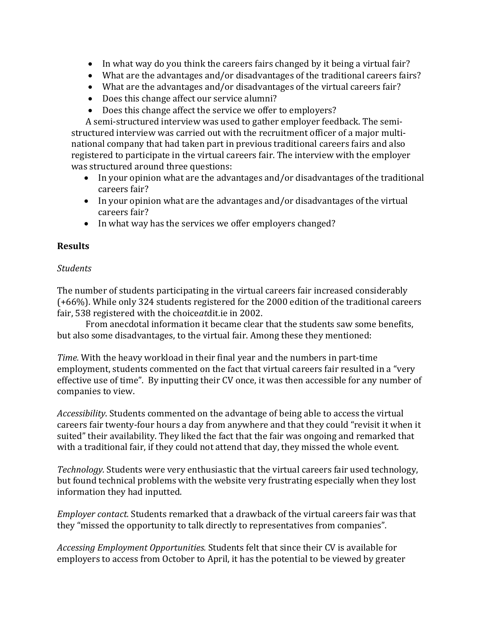- In what way do you think the careers fairs changed by it being a virtual fair?
- What are the advantages and/or disadvantages of the traditional careers fairs?
- What are the advantages and/or disadvantages of the virtual careers fair?
- Does this change affect our service alumni?
- Does this change affect the service we offer to employers?

 A semi-structured interview was used to gather employer feedback. The semistructured interview was carried out with the recruitment officer of a major multinational company that had taken part in previous traditional careers fairs and also registered to participate in the virtual careers fair. The interview with the employer was structured around three questions:

- In your opinion what are the advantages and/or disadvantages of the traditional careers fair?
- In your opinion what are the advantages and/or disadvantages of the virtual careers fair?
- In what way has the services we offer employers changed?

# Results

# **Students**

The number of students participating in the virtual careers fair increased considerably (+66%). While only 324 students registered for the 2000 edition of the traditional careers fair, 538 registered with the choiceatdit.ie in 2002.

 From anecdotal information it became clear that the students saw some benefits, but also some disadvantages, to the virtual fair. Among these they mentioned:

Time. With the heavy workload in their final year and the numbers in part-time employment, students commented on the fact that virtual careers fair resulted in a "very effective use of time". By inputting their CV once, it was then accessible for any number of companies to view.

Accessibility. Students commented on the advantage of being able to access the virtual careers fair twenty-four hours a day from anywhere and that they could "revisit it when it suited" their availability. They liked the fact that the fair was ongoing and remarked that with a traditional fair, if they could not attend that day, they missed the whole event.

Technology. Students were very enthusiastic that the virtual careers fair used technology, but found technical problems with the website very frustrating especially when they lost information they had inputted.

Employer contact. Students remarked that a drawback of the virtual careers fair was that they "missed the opportunity to talk directly to representatives from companies".

Accessing Employment Opportunities. Students felt that since their CV is available for employers to access from October to April, it has the potential to be viewed by greater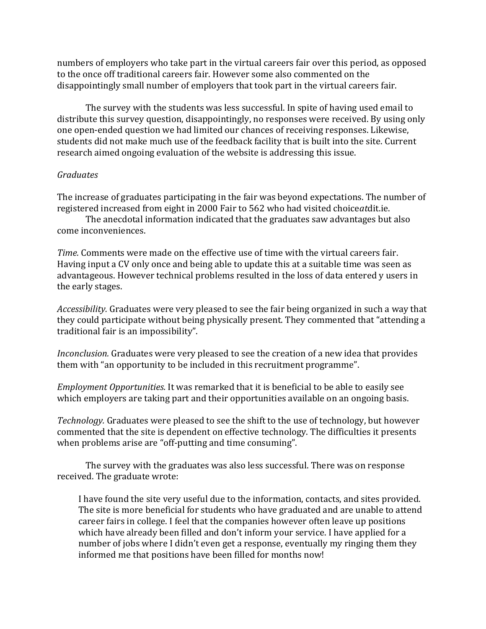numbers of employers who take part in the virtual careers fair over this period, as opposed to the once off traditional careers fair. However some also commented on the disappointingly small number of employers that took part in the virtual careers fair.

 The survey with the students was less successful. In spite of having used email to distribute this survey question, disappointingly, no responses were received. By using only one open-ended question we had limited our chances of receiving responses. Likewise, students did not make much use of the feedback facility that is built into the site. Current research aimed ongoing evaluation of the website is addressing this issue.

## Graduates

The increase of graduates participating in the fair was beyond expectations. The number of registered increased from eight in 2000 Fair to 562 who had visited choiceatdit.ie.

 The anecdotal information indicated that the graduates saw advantages but also come inconveniences.

Time. Comments were made on the effective use of time with the virtual careers fair. Having input a CV only once and being able to update this at a suitable time was seen as advantageous. However technical problems resulted in the loss of data entered y users in the early stages.

Accessibility. Graduates were very pleased to see the fair being organized in such a way that they could participate without being physically present. They commented that "attending a traditional fair is an impossibility".

Inconclusion. Graduates were very pleased to see the creation of a new idea that provides them with "an opportunity to be included in this recruitment programme".

Employment Opportunities. It was remarked that it is beneficial to be able to easily see which employers are taking part and their opportunities available on an ongoing basis.

Technology. Graduates were pleased to see the shift to the use of technology, but however commented that the site is dependent on effective technology. The difficulties it presents when problems arise are "off-putting and time consuming".

 The survey with the graduates was also less successful. There was on response received. The graduate wrote:

I have found the site very useful due to the information, contacts, and sites provided. The site is more beneficial for students who have graduated and are unable to attend career fairs in college. I feel that the companies however often leave up positions which have already been filled and don't inform your service. I have applied for a number of jobs where I didn't even get a response, eventually my ringing them they informed me that positions have been filled for months now!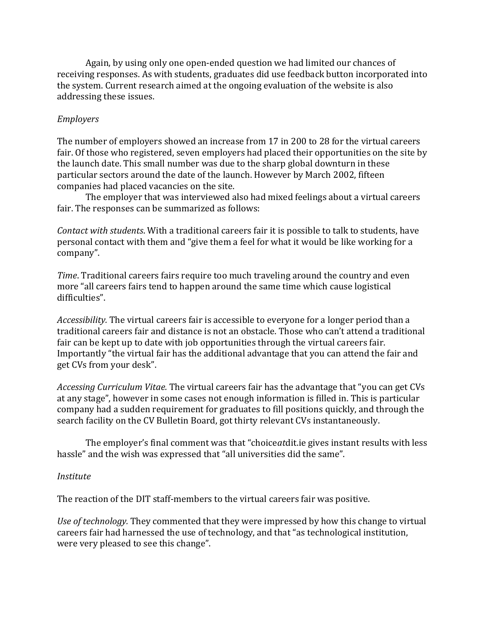Again, by using only one open-ended question we had limited our chances of receiving responses. As with students, graduates did use feedback button incorporated into the system. Current research aimed at the ongoing evaluation of the website is also addressing these issues.

# Employers

The number of employers showed an increase from 17 in 200 to 28 for the virtual careers fair. Of those who registered, seven employers had placed their opportunities on the site by the launch date. This small number was due to the sharp global downturn in these particular sectors around the date of the launch. However by March 2002, fifteen companies had placed vacancies on the site.

 The employer that was interviewed also had mixed feelings about a virtual careers fair. The responses can be summarized as follows:

Contact with students. With a traditional careers fair it is possible to talk to students, have personal contact with them and "give them a feel for what it would be like working for a company".

Time. Traditional careers fairs require too much traveling around the country and even more "all careers fairs tend to happen around the same time which cause logistical difficulties".

Accessibility. The virtual careers fair is accessible to everyone for a longer period than a traditional careers fair and distance is not an obstacle. Those who can't attend a traditional fair can be kept up to date with job opportunities through the virtual careers fair. Importantly "the virtual fair has the additional advantage that you can attend the fair and get CVs from your desk".

Accessing Curriculum Vitae. The virtual careers fair has the advantage that "you can get CVs at any stage", however in some cases not enough information is filled in. This is particular company had a sudden requirement for graduates to fill positions quickly, and through the search facility on the CV Bulletin Board, got thirty relevant CVs instantaneously.

 The employer's final comment was that "choiceatdit.ie gives instant results with less hassle" and the wish was expressed that "all universities did the same".

# Institute

The reaction of the DIT staff-members to the virtual careers fair was positive.

Use of technology. They commented that they were impressed by how this change to virtual careers fair had harnessed the use of technology, and that "as technological institution, were very pleased to see this change".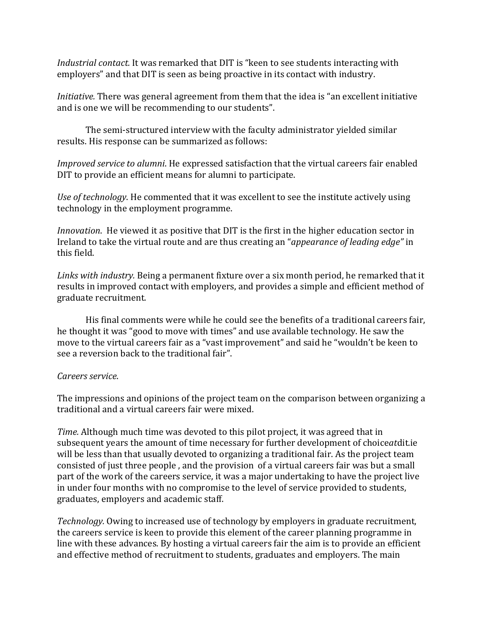Industrial contact. It was remarked that DIT is "keen to see students interacting with employers" and that DIT is seen as being proactive in its contact with industry.

Initiative. There was general agreement from them that the idea is "an excellent initiative and is one we will be recommending to our students".

 The semi-structured interview with the faculty administrator yielded similar results. His response can be summarized as follows:

Improved service to alumni. He expressed satisfaction that the virtual careers fair enabled DIT to provide an efficient means for alumni to participate.

Use of technology. He commented that it was excellent to see the institute actively using technology in the employment programme.

Innovation. He viewed it as positive that DIT is the first in the higher education sector in Ireland to take the virtual route and are thus creating an "appearance of leading edge" in this field.

Links with industry. Being a permanent fixture over a six month period, he remarked that it results in improved contact with employers, and provides a simple and efficient method of graduate recruitment.

 His final comments were while he could see the benefits of a traditional careers fair, he thought it was "good to move with times" and use available technology. He saw the move to the virtual careers fair as a "vast improvement" and said he "wouldn't be keen to see a reversion back to the traditional fair".

# Careers service.

The impressions and opinions of the project team on the comparison between organizing a traditional and a virtual careers fair were mixed.

Time. Although much time was devoted to this pilot project, it was agreed that in subsequent years the amount of time necessary for further development of choiceatdit.ie will be less than that usually devoted to organizing a traditional fair. As the project team consisted of just three people , and the provision of a virtual careers fair was but a small part of the work of the careers service, it was a major undertaking to have the project live in under four months with no compromise to the level of service provided to students, graduates, employers and academic staff.

Technology. Owing to increased use of technology by employers in graduate recruitment, the careers service is keen to provide this element of the career planning programme in line with these advances. By hosting a virtual careers fair the aim is to provide an efficient and effective method of recruitment to students, graduates and employers. The main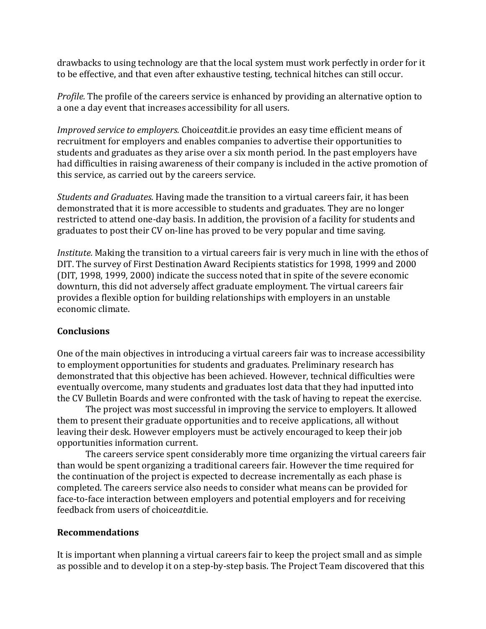drawbacks to using technology are that the local system must work perfectly in order for it to be effective, and that even after exhaustive testing, technical hitches can still occur.

Profile. The profile of the careers service is enhanced by providing an alternative option to a one a day event that increases accessibility for all users.

Improved service to employers. Choiceatdit.ie provides an easy time efficient means of recruitment for employers and enables companies to advertise their opportunities to students and graduates as they arise over a six month period. In the past employers have had difficulties in raising awareness of their company is included in the active promotion of this service, as carried out by the careers service.

Students and Graduates. Having made the transition to a virtual careers fair, it has been demonstrated that it is more accessible to students and graduates. They are no longer restricted to attend one-day basis. In addition, the provision of a facility for students and graduates to post their CV on-line has proved to be very popular and time saving.

Institute. Making the transition to a virtual careers fair is very much in line with the ethos of DIT. The survey of First Destination Award Recipients statistics for 1998, 1999 and 2000 (DIT, 1998, 1999, 2000) indicate the success noted that in spite of the severe economic downturn, this did not adversely affect graduate employment. The virtual careers fair provides a flexible option for building relationships with employers in an unstable economic climate.

# **Conclusions**

One of the main objectives in introducing a virtual careers fair was to increase accessibility to employment opportunities for students and graduates. Preliminary research has demonstrated that this objective has been achieved. However, technical difficulties were eventually overcome, many students and graduates lost data that they had inputted into the CV Bulletin Boards and were confronted with the task of having to repeat the exercise.

 The project was most successful in improving the service to employers. It allowed them to present their graduate opportunities and to receive applications, all without leaving their desk. However employers must be actively encouraged to keep their job opportunities information current.

 The careers service spent considerably more time organizing the virtual careers fair than would be spent organizing a traditional careers fair. However the time required for the continuation of the project is expected to decrease incrementally as each phase is completed. The careers service also needs to consider what means can be provided for face-to-face interaction between employers and potential employers and for receiving feedback from users of choiceatdit.ie.

#### Recommendations

It is important when planning a virtual careers fair to keep the project small and as simple as possible and to develop it on a step-by-step basis. The Project Team discovered that this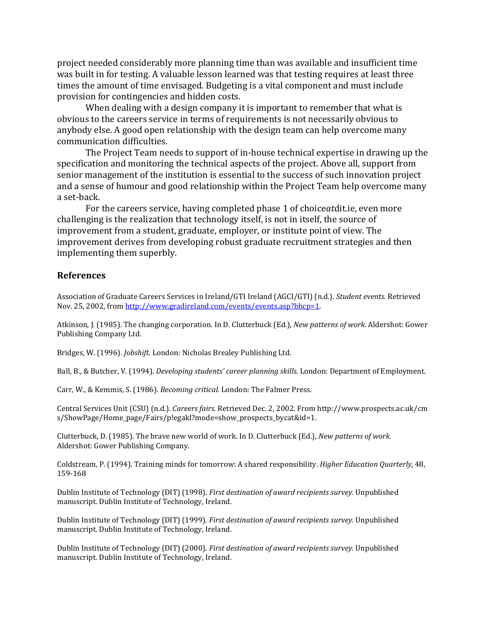project needed considerably more planning time than was available and insufficient time was built in for testing. A valuable lesson learned was that testing requires at least three times the amount of time envisaged. Budgeting is a vital component and must include provision for contingencies and hidden costs.

 When dealing with a design company it is important to remember that what is obvious to the careers service in terms of requirements is not necessarily obvious to anybody else. A good open relationship with the design team can help overcome many communication difficulties.

 The Project Team needs to support of in-house technical expertise in drawing up the specification and monitoring the technical aspects of the project. Above all, support from senior management of the institution is essential to the success of such innovation project and a sense of humour and good relationship within the Project Team help overcome many a set-back.

 For the careers service, having completed phase 1 of choiceatdit.ie, even more challenging is the realization that technology itself, is not in itself, the source of improvement from a student, graduate, employer, or institute point of view. The improvement derives from developing robust graduate recruitment strategies and then implementing them superbly.

#### References

Association of Graduate Careers Services in Ireland/GTI Ireland (AGCI/GTI) (n.d.). Student events. Retrieved Nov. 25, 2002, from http://www.gradireland.com/events/events.asp?bhcp=1.

Atkinson, J. (1985). The changing corporation. In D. Clutterbuck (Ed.), New patterns of work. Aldershot: Gower Publishing Company Ltd.

Bridges, W. (1996). Jobshift. London: Nicholas Brealey Publishing Ltd.

Ball, B., & Butcher, V. (1994). Developing students' career planning skills. London: Department of Employment.

Carr, W., & Kemmis, S. (1986). Becoming critical. London: The Falmer Press.

Central Services Unit (CSU) (n.d.). Careers fairs. Retrieved Dec. 2, 2002. From http://www.prospects.ac.uk/cm s/ShowPage/Home\_page/Fairs/p!egakl?mode=show\_prospects\_bycat&id=1.

Clutterbuck, D. (1985). The brave new world of work. In D. Clutterbuck (Ed.), New patterns of work. Aldershot: Gower Publishing Company.

Coldstream, P. (1994). Training minds for tomorrow: A shared responsibility. Higher Education Quarterly, 48, 159-168

Dublin Institute of Technology (DIT) (1998). First destination of award recipients survey. Unpublished manuscript. Dublin Institute of Technology, Ireland.

Dublin Institute of Technology (DIT) (1999). First destination of award recipients survey. Unpublished manuscript. Dublin Institute of Technology, Ireland.

Dublin Institute of Technology (DIT) (2000). First destination of award recipients survey. Unpublished manuscript. Dublin Institute of Technology, Ireland.